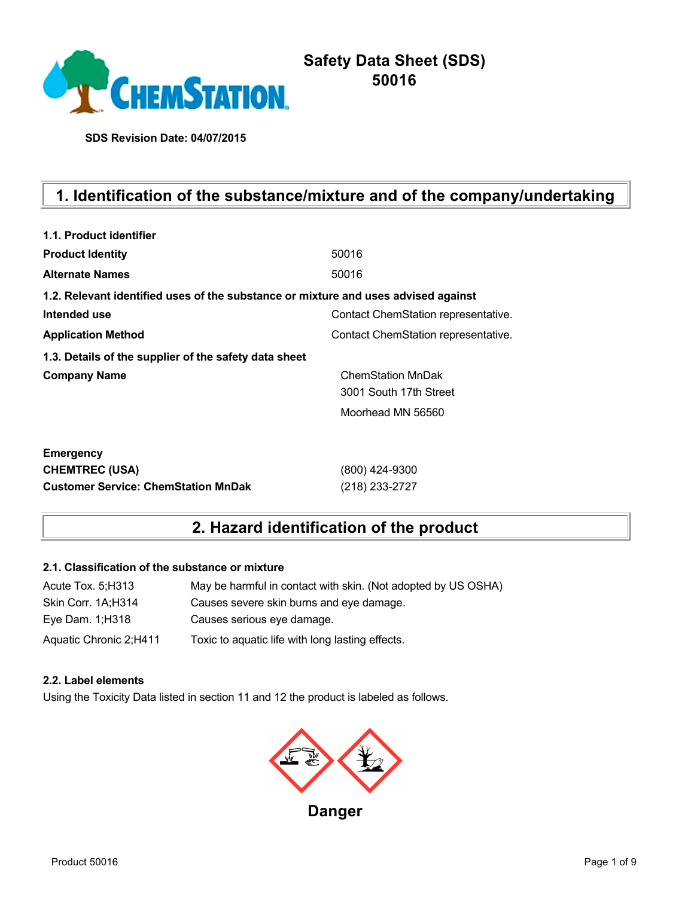

**SDS Revision Date: 04/07/2015**

# **1. Identification of the substance/mixture and of the company/undertaking**

| 1.1. Product identifier                                                            |                                     |
|------------------------------------------------------------------------------------|-------------------------------------|
| <b>Product Identity</b>                                                            | 50016                               |
| <b>Alternate Names</b>                                                             | 50016                               |
| 1.2. Relevant identified uses of the substance or mixture and uses advised against |                                     |
| Intended use                                                                       | Contact ChemStation representative. |
| <b>Application Method</b>                                                          | Contact ChemStation representative. |
| 1.3. Details of the supplier of the safety data sheet                              |                                     |
| <b>Company Name</b>                                                                | <b>ChemStation MnDak</b>            |
|                                                                                    | 3001 South 17th Street              |
|                                                                                    | Moorhead MN 56560                   |
|                                                                                    |                                     |
| <b>Emergency</b>                                                                   |                                     |
| <b>CHEMTREC (USA)</b>                                                              | (800) 424-9300                      |
| <b>Customer Service: ChemStation MnDak</b>                                         | (218) 233-2727                      |

## **2. Hazard identification of the product**

### **2.1. Classification of the substance or mixture**

| Acute Tox. 5; H313     | May be harmful in contact with skin. (Not adopted by US OSHA) |
|------------------------|---------------------------------------------------------------|
| Skin Corr. 1A;H314     | Causes severe skin burns and eye damage.                      |
| Eye Dam. 1; H318       | Causes serious eye damage.                                    |
| Aquatic Chronic 2;H411 | Toxic to aquatic life with long lasting effects.              |

#### **2.2. Label elements**

Using the Toxicity Data listed in section 11 and 12 the product is labeled as follows.

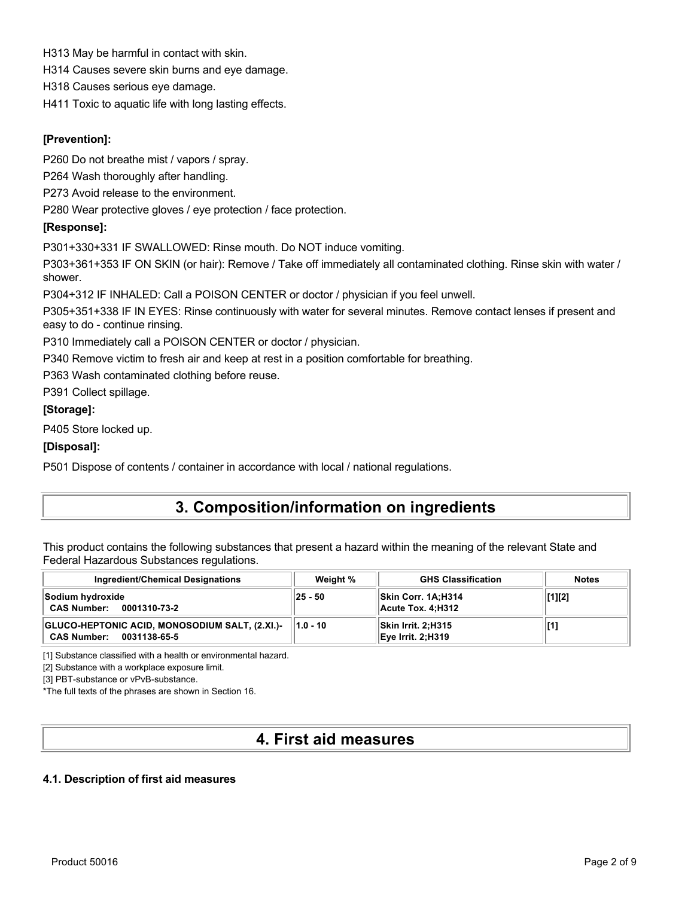H313 May be harmful in contact with skin.

H314 Causes severe skin burns and eye damage.

H318 Causes serious eye damage.

H411 Toxic to aquatic life with long lasting effects.

### **[Prevention]:**

P260 Do not breathe mist / vapors / spray.

P264 Wash thoroughly after handling.

P273 Avoid release to the environment.

P280 Wear protective gloves / eye protection / face protection.

#### **[Response]:**

P301+330+331 IF SWALLOWED: Rinse mouth. Do NOT induce vomiting.

P303+361+353 IF ON SKIN (or hair): Remove / Take off immediately all contaminated clothing. Rinse skin with water / shower.

P304+312 IF INHALED: Call a POISON CENTER or doctor / physician if you feel unwell.

P305+351+338 IF IN EYES: Rinse continuously with water for several minutes. Remove contact lenses if present and easy to do - continue rinsing.

P310 Immediately call a POISON CENTER or doctor / physician.

P340 Remove victim to fresh air and keep at rest in a position comfortable for breathing.

P363 Wash contaminated clothing before reuse.

P391 Collect spillage.

#### **[Storage]:**

P405 Store locked up.

### **[Disposal]:**

P501 Dispose of contents / container in accordance with local / national regulations.

## **3. Composition/information on ingredients**

This product contains the following substances that present a hazard within the meaning of the relevant State and Federal Hazardous Substances regulations.

| <b>Ingredient/Chemical Designations</b>                                              | Weight %     | <b>GHS Classification</b>                       | <b>Notes</b> |
|--------------------------------------------------------------------------------------|--------------|-------------------------------------------------|--------------|
| Sodium hydroxide<br><b>CAS Number:</b><br>0001310-73-2                               | 25 - 50      | <b>ISkin Corr. 1A:H314</b><br>Acute Tox. 4:H312 | [1][2]       |
| GLUCO-HEPTONIC ACID, MONOSODIUM SALT, (2.XI.)-<br><b>CAS Number:</b><br>0031138-65-5 | $  1.0 - 10$ | Skin Irrit. 2:H315<br><b>Eye Irrit. 2:H319</b>  | [1]          |

[1] Substance classified with a health or environmental hazard.

[2] Substance with a workplace exposure limit.

[3] PBT-substance or vPvB-substance.

\*The full texts of the phrases are shown in Section 16.

## **4. First aid measures**

### **4.1. Description of first aid measures**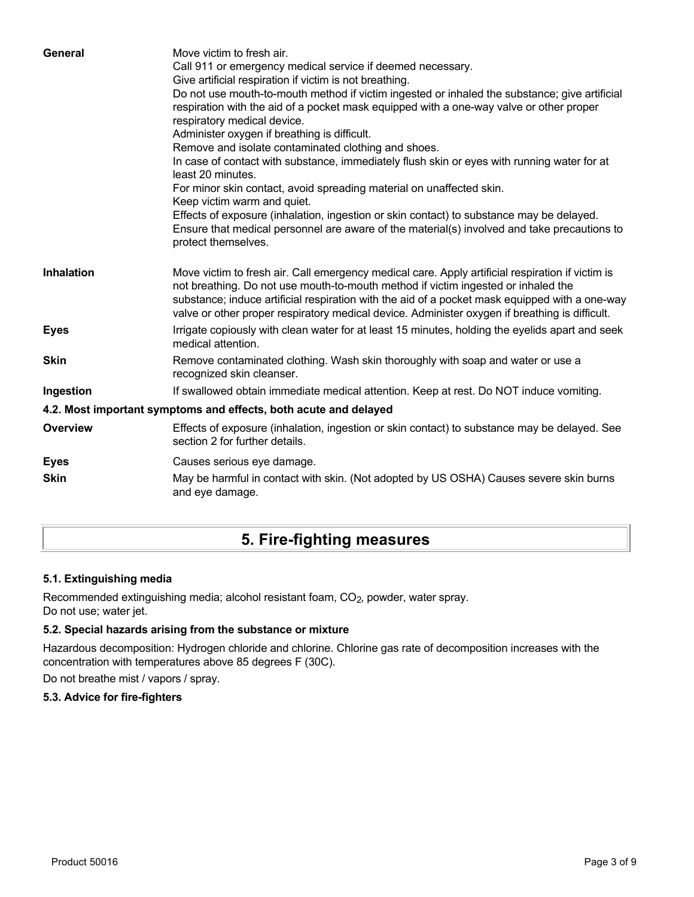| General           | Move victim to fresh air.<br>Call 911 or emergency medical service if deemed necessary.<br>Give artificial respiration if victim is not breathing.<br>Do not use mouth-to-mouth method if victim ingested or inhaled the substance; give artificial<br>respiration with the aid of a pocket mask equipped with a one-way valve or other proper<br>respiratory medical device.<br>Administer oxygen if breathing is difficult.<br>Remove and isolate contaminated clothing and shoes.<br>In case of contact with substance, immediately flush skin or eyes with running water for at<br>least 20 minutes.<br>For minor skin contact, avoid spreading material on unaffected skin.<br>Keep victim warm and quiet.<br>Effects of exposure (inhalation, ingestion or skin contact) to substance may be delayed.<br>Ensure that medical personnel are aware of the material(s) involved and take precautions to<br>protect themselves. |
|-------------------|-----------------------------------------------------------------------------------------------------------------------------------------------------------------------------------------------------------------------------------------------------------------------------------------------------------------------------------------------------------------------------------------------------------------------------------------------------------------------------------------------------------------------------------------------------------------------------------------------------------------------------------------------------------------------------------------------------------------------------------------------------------------------------------------------------------------------------------------------------------------------------------------------------------------------------------|
| <b>Inhalation</b> | Move victim to fresh air. Call emergency medical care. Apply artificial respiration if victim is<br>not breathing. Do not use mouth-to-mouth method if victim ingested or inhaled the<br>substance; induce artificial respiration with the aid of a pocket mask equipped with a one-way<br>valve or other proper respiratory medical device. Administer oxygen if breathing is difficult.                                                                                                                                                                                                                                                                                                                                                                                                                                                                                                                                         |
| <b>Eyes</b>       | Irrigate copiously with clean water for at least 15 minutes, holding the eyelids apart and seek<br>medical attention.                                                                                                                                                                                                                                                                                                                                                                                                                                                                                                                                                                                                                                                                                                                                                                                                             |
| <b>Skin</b>       | Remove contaminated clothing. Wash skin thoroughly with soap and water or use a<br>recognized skin cleanser.                                                                                                                                                                                                                                                                                                                                                                                                                                                                                                                                                                                                                                                                                                                                                                                                                      |
| Ingestion         | If swallowed obtain immediate medical attention. Keep at rest. Do NOT induce vomiting.                                                                                                                                                                                                                                                                                                                                                                                                                                                                                                                                                                                                                                                                                                                                                                                                                                            |
|                   | 4.2. Most important symptoms and effects, both acute and delayed                                                                                                                                                                                                                                                                                                                                                                                                                                                                                                                                                                                                                                                                                                                                                                                                                                                                  |
| <b>Overview</b>   | Effects of exposure (inhalation, ingestion or skin contact) to substance may be delayed. See<br>section 2 for further details.                                                                                                                                                                                                                                                                                                                                                                                                                                                                                                                                                                                                                                                                                                                                                                                                    |
| <b>Eyes</b>       | Causes serious eye damage.                                                                                                                                                                                                                                                                                                                                                                                                                                                                                                                                                                                                                                                                                                                                                                                                                                                                                                        |
| <b>Skin</b>       | May be harmful in contact with skin. (Not adopted by US OSHA) Causes severe skin burns<br>and eye damage.                                                                                                                                                                                                                                                                                                                                                                                                                                                                                                                                                                                                                                                                                                                                                                                                                         |

# **5. Fire-fighting measures**

### **5.1. Extinguishing media**

Recommended extinguishing media; alcohol resistant foam, CO<sub>2</sub>, powder, water spray. Do not use; water jet.

## **5.2. Special hazards arising from the substance or mixture**

Hazardous decomposition: Hydrogen chloride and chlorine. Chlorine gas rate of decomposition increases with the concentration with temperatures above 85 degrees F (30C).

Do not breathe mist / vapors / spray.

### **5.3. Advice for fire-fighters**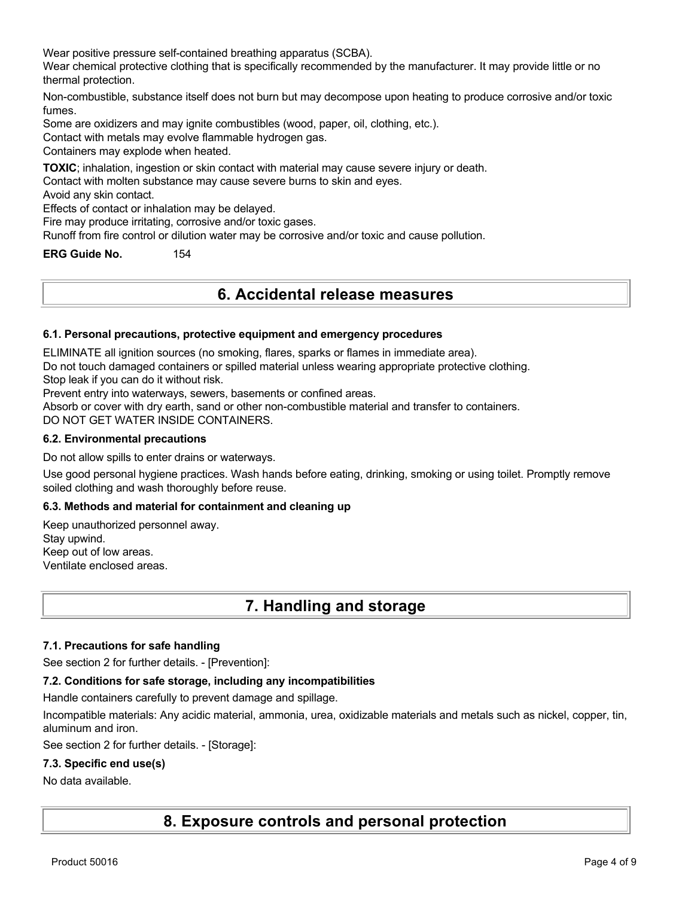Wear positive pressure self-contained breathing apparatus (SCBA).

Wear chemical protective clothing that is specifically recommended by the manufacturer. It may provide little or no thermal protection.

Non-combustible, substance itself does not burn but may decompose upon heating to produce corrosive and/or toxic fumes.

Some are oxidizers and may ignite combustibles (wood, paper, oil, clothing, etc.).

Contact with metals may evolve flammable hydrogen gas.

Containers may explode when heated.

**TOXIC**; inhalation, ingestion or skin contact with material may cause severe injury or death.

Contact with molten substance may cause severe burns to skin and eyes.

Avoid any skin contact.

Effects of contact or inhalation may be delayed.

Fire may produce irritating, corrosive and/or toxic gases.

Runoff from fire control or dilution water may be corrosive and/or toxic and cause pollution.

**ERG Guide No.** 154

## **6. Accidental release measures**

#### **6.1. Personal precautions, protective equipment and emergency procedures**

ELIMINATE all ignition sources (no smoking, flares, sparks or flames in immediate area).

Do not touch damaged containers or spilled material unless wearing appropriate protective clothing.

Stop leak if you can do it without risk.

Prevent entry into waterways, sewers, basements or confined areas.

Absorb or cover with dry earth, sand or other non-combustible material and transfer to containers.

DO NOT GET WATER INSIDE CONTAINERS.

#### **6.2. Environmental precautions**

Do not allow spills to enter drains or waterways.

Use good personal hygiene practices. Wash hands before eating, drinking, smoking or using toilet. Promptly remove soiled clothing and wash thoroughly before reuse.

#### **6.3. Methods and material for containment and cleaning up**

Keep unauthorized personnel away. Stay upwind. Keep out of low areas. Ventilate enclosed areas.

## **7. Handling and storage**

#### **7.1. Precautions for safe handling**

See section 2 for further details. - [Prevention]:

#### **7.2. Conditions for safe storage, including any incompatibilities**

Handle containers carefully to prevent damage and spillage.

Incompatible materials: Any acidic material, ammonia, urea, oxidizable materials and metals such as nickel, copper, tin, aluminum and iron.

See section 2 for further details. - [Storage]:

#### **7.3. Specific end use(s)**

#### No data available.

**8. Exposure controls and personal protection**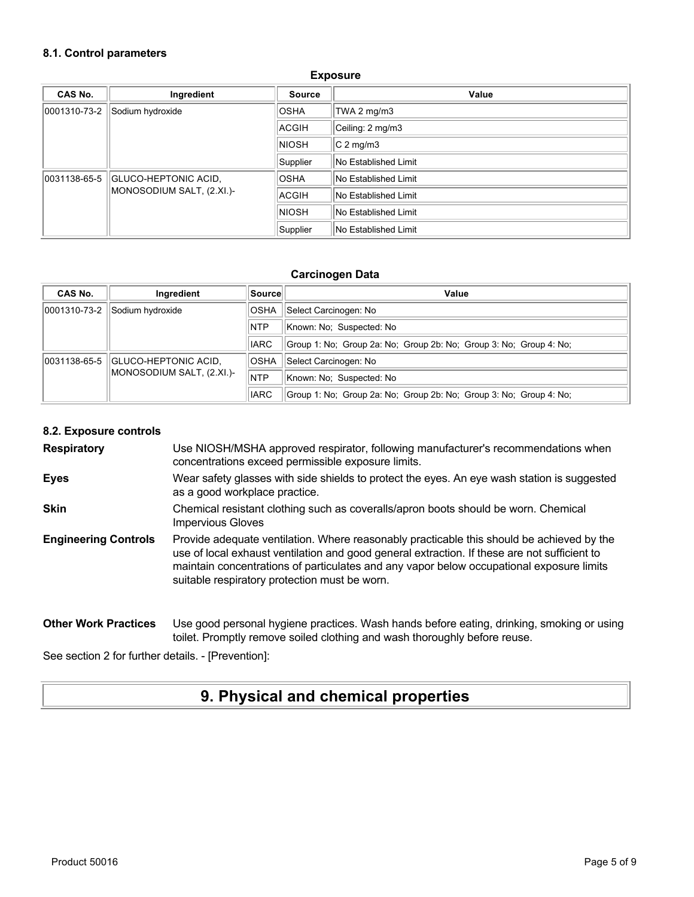#### **8.1. Control parameters**

| <b>CAS No.</b>            | Ingredient           | <b>Source</b>        | Value                |
|---------------------------|----------------------|----------------------|----------------------|
| 0001310-73-2              | Sodium hydroxide     | <b>OSHA</b>          | TWA 2 mg/m3          |
|                           |                      | ACGIH                | Ceiling: 2 mg/m3     |
|                           |                      | <b>NIOSH</b>         | $ C 2$ mg/m3         |
|                           |                      | Supplier             | No Established Limit |
| 0031138-65-5              | GLUCO-HEPTONIC ACID, | <b>OSHA</b>          | No Established Limit |
| MONOSODIUM SALT, (2.XI.)- | <b>ACGIH</b>         | No Established Limit |                      |
|                           |                      | <b>NIOSH</b>         | No Established Limit |
|                           |                      | Supplier             | No Established Limit |

#### **Exposure**

#### **Carcinogen Data**

| CAS No.      | Ingredient                  | Source      | Value                                                              |
|--------------|-----------------------------|-------------|--------------------------------------------------------------------|
| 0001310-73-2 | Sodium hydroxide            | <b>OSHA</b> | Select Carcinogen: No                                              |
|              |                             | <b>NTP</b>  | Known: No: Suspected: No                                           |
|              |                             | <b>IARC</b> | Group 1: No; Group 2a: No; Group 2b: No; Group 3: No; Group 4: No; |
| 0031138-65-5 | <b>GLUCO-HEPTONIC ACID,</b> | <b>OSHA</b> | Select Carcinogen: No                                              |
|              | MONOSODIUM SALT, (2.XI.)-   | <b>NTP</b>  | Known: No: Suspected: No                                           |
|              |                             | <b>IARC</b> | Group 1: No; Group 2a: No; Group 2b: No; Group 3: No; Group 4: No; |

#### **8.2. Exposure controls**

**Respiratory** Use NIOSH/MSHA approved respirator, following manufacturer's recommendations when concentrations exceed permissible exposure limits.

- **Eyes** Wear safety glasses with side shields to protect the eyes. An eye wash station is suggested as a good workplace practice.
- **Skin** Chemical resistant clothing such as coveralls/apron boots should be worn. Chemical Impervious Gloves
- **Engineering Controls** Provide adequate ventilation. Where reasonably practicable this should be achieved by the use of local exhaust ventilation and good general extraction. If these are not sufficient to maintain concentrations of particulates and any vapor below occupational exposure limits suitable respiratory protection must be worn.

#### **Other Work Practices** Use good personal hygiene practices. Wash hands before eating, drinking, smoking or using toilet. Promptly remove soiled clothing and wash thoroughly before reuse.

See section 2 for further details. - [Prevention]:

## **9. Physical and chemical properties**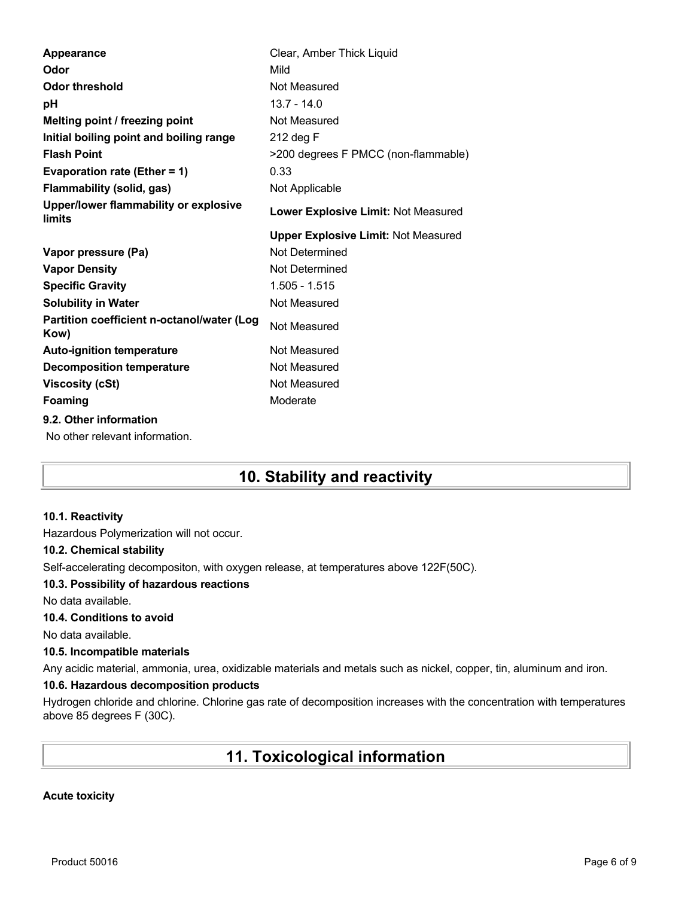| Appearance                                         | Clear, Amber Thick Liquid                  |
|----------------------------------------------------|--------------------------------------------|
| Odor                                               | Mild                                       |
| <b>Odor threshold</b>                              | Not Measured                               |
| рH                                                 | $13.7 - 14.0$                              |
| Melting point / freezing point                     | Not Measured                               |
| Initial boiling point and boiling range            | 212 deg F                                  |
| <b>Flash Point</b>                                 | >200 degrees F PMCC (non-flammable)        |
| Evaporation rate (Ether = 1)                       | 0.33                                       |
| <b>Flammability (solid, gas)</b>                   | Not Applicable                             |
| Upper/lower flammability or explosive<br>limits    | Lower Explosive Limit: Not Measured        |
|                                                    | <b>Upper Explosive Limit: Not Measured</b> |
| Vapor pressure (Pa)                                | Not Determined                             |
| <b>Vapor Density</b>                               | Not Determined                             |
|                                                    |                                            |
| <b>Specific Gravity</b>                            | 1.505 - 1.515                              |
| <b>Solubility in Water</b>                         | Not Measured                               |
| Partition coefficient n-octanol/water (Log<br>Kow) | Not Measured                               |
| <b>Auto-ignition temperature</b>                   | Not Measured                               |
| <b>Decomposition temperature</b>                   | Not Measured                               |
| <b>Viscosity (cSt)</b>                             | Not Measured                               |
| Foaming                                            | Moderate                                   |
| 9.2. Other information                             |                                            |

# **10. Stability and reactivity**

#### **10.1. Reactivity**

Hazardous Polymerization will not occur.

#### **10.2. Chemical stability**

Self-accelerating decompositon, with oxygen release, at temperatures above 122F(50C).

#### **10.3. Possibility of hazardous reactions**

No data available.

### **10.4. Conditions to avoid**

No data available.

#### **10.5. Incompatible materials**

Any acidic material, ammonia, urea, oxidizable materials and metals such as nickel, copper, tin, aluminum and iron.

### **10.6. Hazardous decomposition products**

Hydrogen chloride and chlorine. Chlorine gas rate of decomposition increases with the concentration with temperatures above 85 degrees F (30C).

## **11. Toxicological information**

### **Acute toxicity**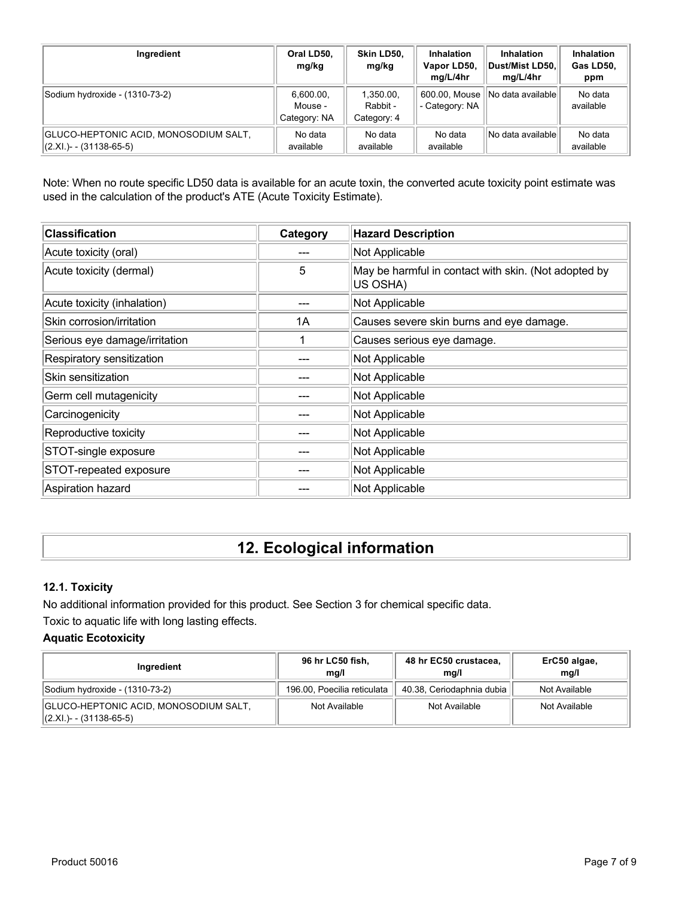| Ingredient                                                         | Oral LD50,<br>mg/kg                  | Skin LD50,<br>mg/kg                  | <b>Inhalation</b><br>Vapor LD50,<br>mg/L/4hr | <b>Inhalation</b><br>Dust/Mist LD50.<br>mg/L/4hr | <b>Inhalation</b><br>Gas LD50,<br>ppm |
|--------------------------------------------------------------------|--------------------------------------|--------------------------------------|----------------------------------------------|--------------------------------------------------|---------------------------------------|
| Sodium hydroxide - (1310-73-2)                                     | 6,600.00,<br>Mouse -<br>Category: NA | 1,350.00,<br>Rabbit -<br>Category: 4 | 600.00, Mouse<br>- Category: NA              | INo data availablel                              | No data<br>available                  |
| GLUCO-HEPTONIC ACID, MONOSODIUM SALT,<br>$ (2.XL) - (31138-65-5) $ | No data<br>available                 | No data<br>available                 | No data<br>available                         | No data availablel                               | No data<br>available                  |

Note: When no route specific LD50 data is available for an acute toxin, the converted acute toxicity point estimate was used in the calculation of the product's ATE (Acute Toxicity Estimate).

| <b>Classification</b>         | Category | <b>Hazard Description</b>                                        |
|-------------------------------|----------|------------------------------------------------------------------|
| Acute toxicity (oral)         |          | Not Applicable                                                   |
| Acute toxicity (dermal)       | 5        | May be harmful in contact with skin. (Not adopted by<br>US OSHA) |
| Acute toxicity (inhalation)   |          | Not Applicable                                                   |
| Skin corrosion/irritation     | 1A       | Causes severe skin burns and eye damage.                         |
| Serious eye damage/irritation |          | Causes serious eye damage.                                       |
| Respiratory sensitization     |          | Not Applicable                                                   |
| Skin sensitization            |          | Not Applicable                                                   |
| Germ cell mutagenicity        |          | Not Applicable                                                   |
| Carcinogenicity               |          | Not Applicable                                                   |
| Reproductive toxicity         |          | Not Applicable                                                   |
| STOT-single exposure          |          | Not Applicable                                                   |
| STOT-repeated exposure        |          | Not Applicable                                                   |
| Aspiration hazard             |          | Not Applicable                                                   |

# **12. Ecological information**

### **12.1. Toxicity**

No additional information provided for this product. See Section 3 for chemical specific data. Toxic to aquatic life with long lasting effects.

### **Aquatic Ecotoxicity**

| Ingredient                                                       | 96 hr LC50 fish,<br>mq/l    | 48 hr EC50 crustacea,<br>mg/l | ErC50 algae,<br>mg/l |
|------------------------------------------------------------------|-----------------------------|-------------------------------|----------------------|
| Sodium hydroxide - (1310-73-2)                                   | 196.00, Poecilia reticulata | 40.38, Ceriodaphnia dubia     | Not Available        |
| GLUCO-HEPTONIC ACID, MONOSODIUM SALT,<br>(2.XI.)- - (31138-65-5) | Not Available               | Not Available                 | Not Available        |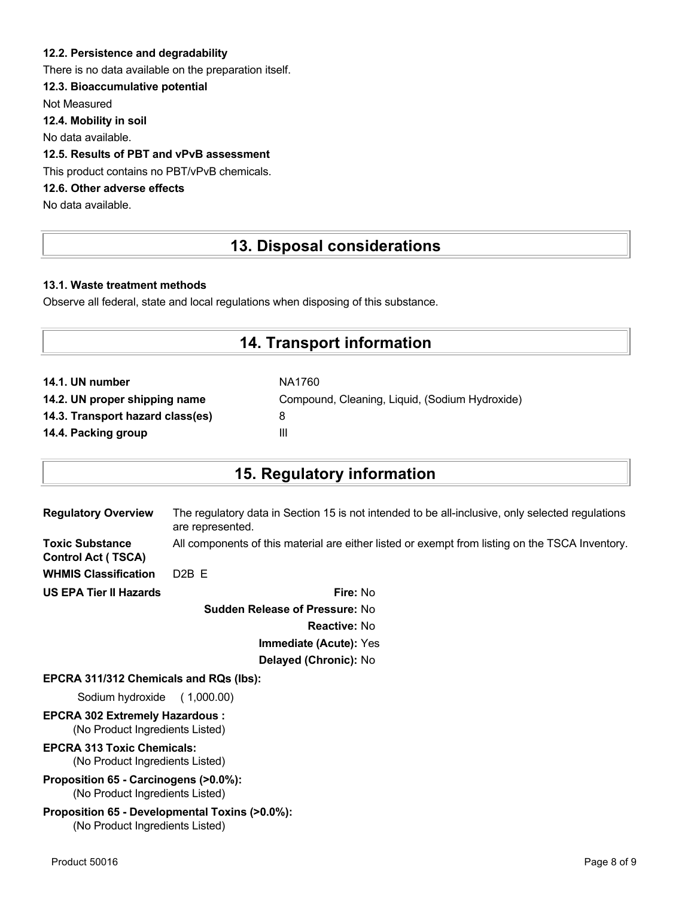### **12.2. Persistence and degradability**

There is no data available on the preparation itself.

### **12.3. Bioaccumulative potential**

Not Measured

**12.4. Mobility in soil**

No data available.

### **12.5. Results of PBT and vPvB assessment**

This product contains no PBT/vPvB chemicals.

## **12.6. Other adverse effects**

No data available.

## **13. Disposal considerations**

#### **13.1. Waste treatment methods**

Observe all federal, state and local regulations when disposing of this substance.

## **14. Transport information**

| NA1760                                         |
|------------------------------------------------|
| Compound, Cleaning, Liquid, (Sodium Hydroxide) |
| 8                                              |
| Ш                                              |
|                                                |

## **15. Regulatory information**

| <b>Regulatory Overview</b>                          | The regulatory data in Section 15 is not intended to be all-inclusive, only selected regulations<br>are represented. |
|-----------------------------------------------------|----------------------------------------------------------------------------------------------------------------------|
| <b>Toxic Substance</b><br><b>Control Act (TSCA)</b> | All components of this material are either listed or exempt from listing on the TSCA Inventory.                      |
| <b>WHMIS Classification</b>                         | D <sub>2</sub> B E                                                                                                   |
| <b>US EPA Tier II Hazards</b>                       | <b>Fire: No</b>                                                                                                      |
|                                                     | <b>Sudden Release of Pressure: No</b>                                                                                |

**Reactive:** No

**Immediate (Acute):** Yes

## **Delayed (Chronic):** No

#### **EPCRA 311/312 Chemicals and RQs (lbs):**

Sodium hydroxide ( 1,000.00)

#### **EPCRA 302 Extremely Hazardous :** (No Product Ingredients Listed)

**EPCRA 313 Toxic Chemicals:**

(No Product Ingredients Listed)

#### **Proposition 65 - Carcinogens (>0.0%):** (No Product Ingredients Listed)

#### **Proposition 65 - Developmental Toxins (>0.0%):** (No Product Ingredients Listed)